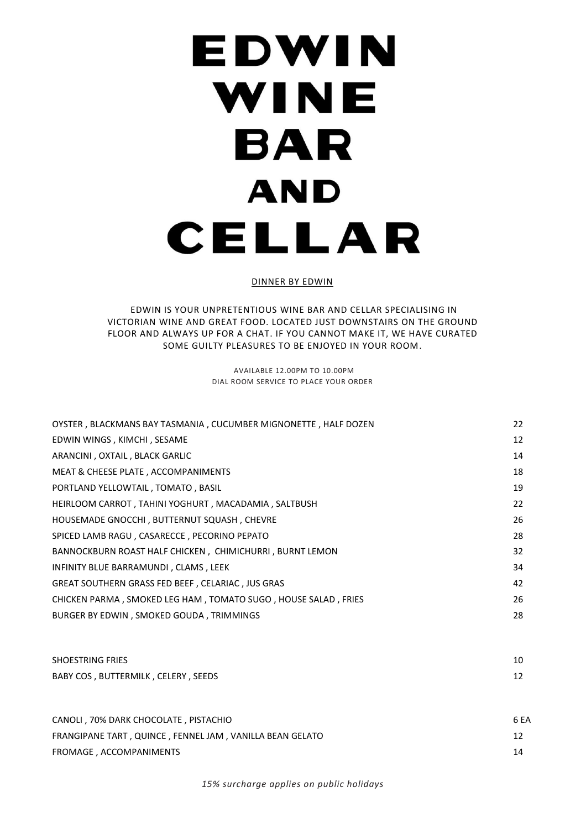# EDWIN WINE **BAR AND** CELLAR

#### DINNER BY EDWIN

### EDWIN IS YOUR UNPRETENTIOUS WINE BAR AND CELLAR SPECIALISING IN VICTORIAN WINE AND GREAT FOOD. LOCATED JUST DOWNSTAIRS ON THE GROUND FLOOR AND ALWAYS UP FOR A CHAT. IF YOU CANNOT MAKE IT, WE HAVE CURATED SOME GUILTY PLEASURES TO BE ENJOYED IN YOUR ROOM.

AVAILABLE 12.00PM TO 10.00PM DIAL ROOM SERVICE TO PLACE YOUR ORDER

| OYSTER, BLACKMANS BAY TASMANIA, CUCUMBER MIGNONETTE, HALF DOZEN | 22 |
|-----------------------------------------------------------------|----|
| EDWIN WINGS, KIMCHI, SESAME                                     | 12 |
| ARANCINI, OXTAIL, BLACK GARLIC                                  | 14 |
| MEAT & CHEESE PLATE, ACCOMPANIMENTS                             | 18 |
| PORTLAND YELLOWTAIL, TOMATO, BASIL                              | 19 |
| HEIRLOOM CARROT, TAHINI YOGHURT, MACADAMIA, SALTBUSH            | 22 |
| HOUSEMADE GNOCCHI, BUTTERNUT SQUASH, CHEVRE                     | 26 |
| SPICED LAMB RAGU, CASARECCE, PECORINO PEPATO                    | 28 |
| BANNOCKBURN ROAST HALF CHICKEN, CHIMICHURRI, BURNT LEMON        | 32 |
| INFINITY BLUE BARRAMUNDI, CLAMS, LEEK                           | 34 |
| GREAT SOUTHERN GRASS FED BEEF, CELARIAC, JUS GRAS               | 42 |
| CHICKEN PARMA, SMOKED LEG HAM, TOMATO SUGO, HOUSE SALAD, FRIES  | 26 |
| BURGER BY EDWIN, SMOKED GOUDA, TRIMMINGS                        | 28 |
|                                                                 |    |
|                                                                 |    |

| <b>SHOESTRING FRIES</b>             | 10 |
|-------------------------------------|----|
| BABY COS, BUTTERMILK, CELERY, SEEDS |    |

| CANOLI, 70% DARK CHOCOLATE, PISTACHIO                    | 6 EA |
|----------------------------------------------------------|------|
| FRANGIPANE TART, QUINCE, FENNEL JAM, VANILLA BEAN GELATO |      |
| FROMAGE, ACCOMPANIMENTS                                  | 14   |